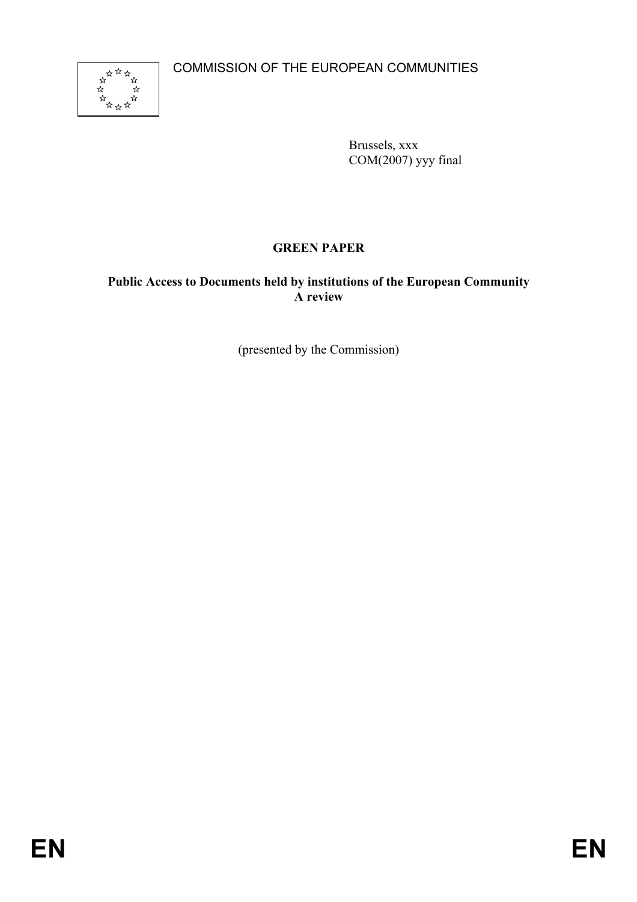COMMISSION OF THE EUROPEAN COMMUNITIES



Brussels, xxx  $COM(2007)$  yyy final

# **GREEN PAPER**

**Public Access to Documents held by institutions of the European Community A review** 

(presented by the Commission)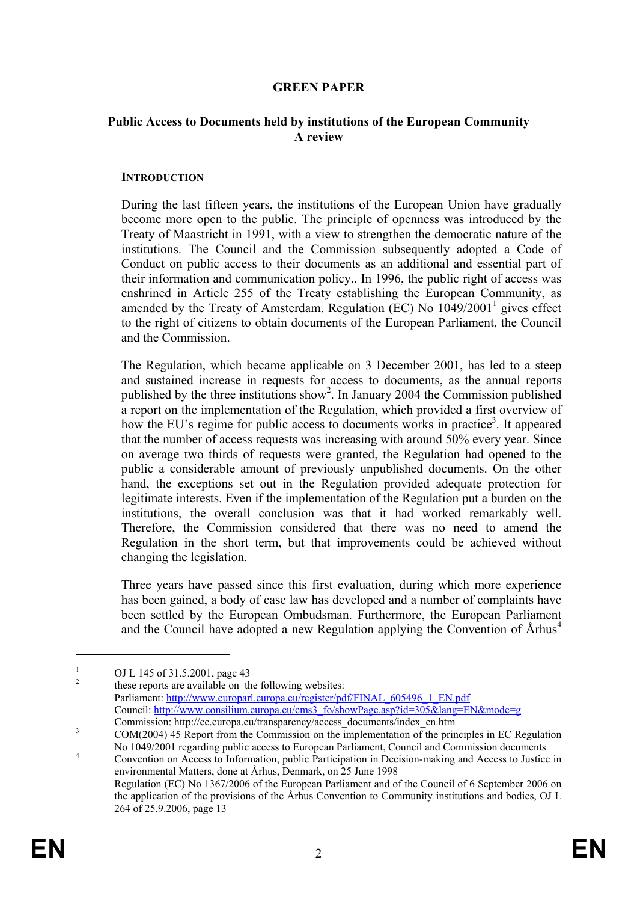### **GREEN PAPER**

#### **Public Access to Documents held by institutions of the European Community A review**

#### **INTRODUCTION**

During the last fifteen years, the institutions of the European Union have gradually become more open to the public. The principle of openness was introduced by the Treaty of Maastricht in 1991, with a view to strengthen the democratic nature of the institutions. The Council and the Commission subsequently adopted a Code of Conduct on public access to their documents as an additional and essential part of their information and communication policy.. In 1996, the public right of access was enshrined in Article 255 of the Treaty establishing the European Community, as amended by the Treaty of Amsterdam. Regulation (EC) No  $1049/2001<sup>1</sup>$  gives effect to the right of citizens to obtain documents of the European Parliament, the Council and the Commission.

The Regulation, which became applicable on 3 December 2001, has led to a steep and sustained increase in requests for access to documents, as the annual reports published by the three institutions show<sup>2</sup>. In January 2004 the Commission published a report on the implementation of the Regulation, which provided a first overview of how the EU's regime for public access to documents works in practice<sup>3</sup>. It appeared that the number of access requests was increasing with around 50% every year. Since on average two thirds of requests were granted, the Regulation had opened to the public a considerable amount of previously unpublished documents. On the other hand, the exceptions set out in the Regulation provided adequate protection for legitimate interests. Even if the implementation of the Regulation put a burden on the institutions, the overall conclusion was that it had worked remarkably well. Therefore, the Commission considered that there was no need to amend the Regulation in the short term, but that improvements could be achieved without changing the legislation.

Three years have passed since this first evaluation, during which more experience has been gained, a body of case law has developed and a number of complaints have been settled by the European Ombudsman. Furthermore, the European Parliament and the Council have adopted a new Regulation applying the Convention of  $\text{Arhus}^4$ 

1 OJ L 145 of 31.5.2001, page 43

2 these reports are available on the following websites: Parliament: http://www.europarl.europa.eu/register/pdf/FINAL\_605496\_1\_EN.pdf Council: http://www.consilium.europa.eu/cms3\_fo/showPage.asp?id=305&lang=EN&mode=g

<u>.</u>

Commission: http://ec.europa.eu/transparency/access\_documents/index\_en.htm COM(2004) 45 Report from the Commission on the implementation of the principles in EC Regulation No 1049/2001 regarding public access to European Parliament, Council and Commission documents 4

Convention on Access to Information, public Participation in Decision-making and Access to Justice in environmental Matters, done at Århus, Denmark, on 25 June 1998 Regulation (EC) No 1367/2006 of the European Parliament and of the Council of 6 September 2006 on the application of the provisions of the Århus Convention to Community institutions and bodies, OJ L 264 of 25.9.2006, page 13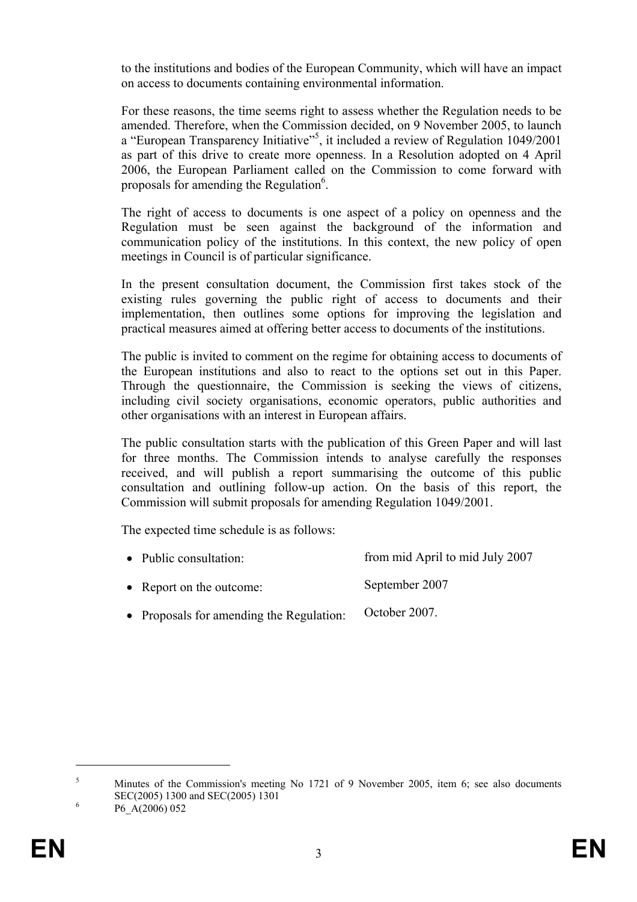to the institutions and bodies of the European Community, which will have an impact on access to documents containing environmental information.

For these reasons, the time seems right to assess whether the Regulation needs to be amended. Therefore, when the Commission decided, on 9 November 2005, to launch a "European Transparency Initiative"<sup>5</sup>, it included a review of Regulation 1049/2001 as part of this drive to create more openness. In a Resolution adopted on 4 April 2006, the European Parliament called on the Commission to come forward with proposals for amending the Regulation<sup>6</sup>.

The right of access to documents is one aspect of a policy on openness and the Regulation must be seen against the background of the information and communication policy of the institutions. In this context, the new policy of open meetings in Council is of particular significance.

In the present consultation document, the Commission first takes stock of the existing rules governing the public right of access to documents and their implementation, then outlines some options for improving the legislation and practical measures aimed at offering better access to documents of the institutions.

The public is invited to comment on the regime for obtaining access to documents of the European institutions and also to react to the options set out in this Paper. Through the questionnaire, the Commission is seeking the views of citizens, including civil society organisations, economic operators, public authorities and other organisations with an interest in European affairs.

The public consultation starts with the publication of this Green Paper and will last for three months. The Commission intends to analyse carefully the responses received, and will publish a report summarising the outcome of this public consultation and outlining follow-up action. On the basis of this report, the Commission will submit proposals for amending Regulation 1049/2001.

The expected time schedule is as follows:

- Public consultation: • Report on the outcome: from mid April to mid July 2007 September 2007
- Proposals for amending the Regulation: October 2007.

<u>.</u>

<sup>5</sup> Minutes of the Commission's meeting No 1721 of 9 November 2005, item 6; see also documents SEC(2005) 1300 and SEC(2005) 1301

P6\_A(2006) 052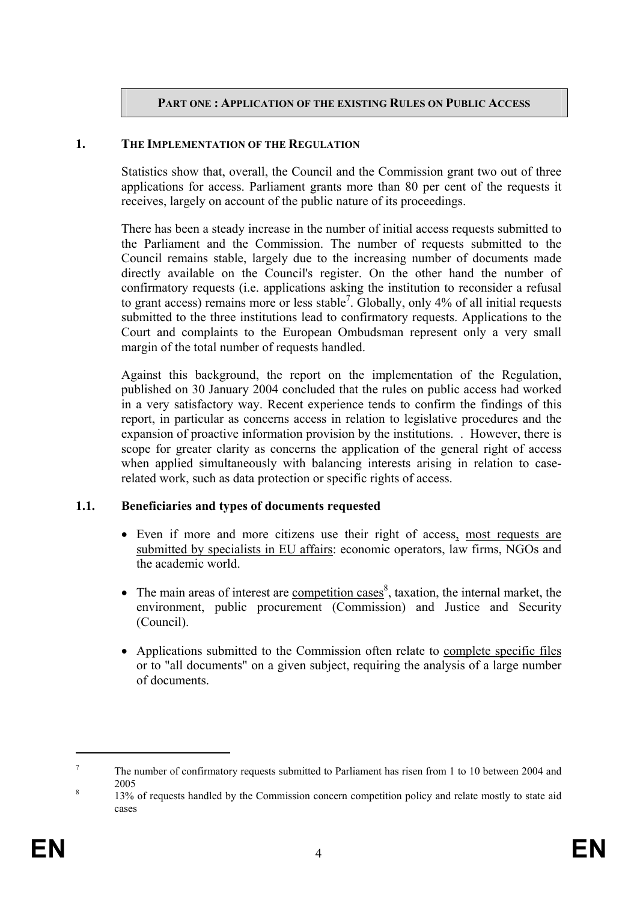### **PART ONE : APPLICATION OF THE EXISTING RULES ON PUBLIC ACCESS**

#### **1. THE IMPLEMENTATION OF THE REGULATION**

Statistics show that, overall, the Council and the Commission grant two out of three applications for access. Parliament grants more than 80 per cent of the requests it receives, largely on account of the public nature of its proceedings.

There has been a steady increase in the number of initial access requests submitted to the Parliament and the Commission. The number of requests submitted to the Council remains stable, largely due to the increasing number of documents made directly available on the Council's register. On the other hand the number of confirmatory requests (i.e. applications asking the institution to reconsider a refusal to grant access) remains more or less stable<sup>7</sup>. Globally, only 4% of all initial requests submitted to the three institutions lead to confirmatory requests. Applications to the Court and complaints to the European Ombudsman represent only a very small margin of the total number of requests handled.

Against this background, the report on the implementation of the Regulation, published on 30 January 2004 concluded that the rules on public access had worked in a very satisfactory way. Recent experience tends to confirm the findings of this report, in particular as concerns access in relation to legislative procedures and the expansion of proactive information provision by the institutions. . However, there is scope for greater clarity as concerns the application of the general right of access when applied simultaneously with balancing interests arising in relation to caserelated work, such as data protection or specific rights of access.

#### **1.1. Beneficiaries and types of documents requested**

- Even if more and more citizens use their right of access, most requests are submitted by specialists in EU affairs: economic operators, law firms, NGOs and the academic world.
- The main areas of interest are <u>competition cases</u><sup>8</sup>, taxation, the internal market, the environment, public procurement (Commission) and Justice and Security (Council).
- Applications submitted to the Commission often relate to complete specific files or to "all documents" on a given subject, requiring the analysis of a large number of documents.

<sup>7</sup> The number of confirmatory requests submitted to Parliament has risen from 1 to 10 between 2004 and  $\frac{2005}{120}$ 

 <sup>13%</sup> of requests handled by the Commission concern competition policy and relate mostly to state aid cases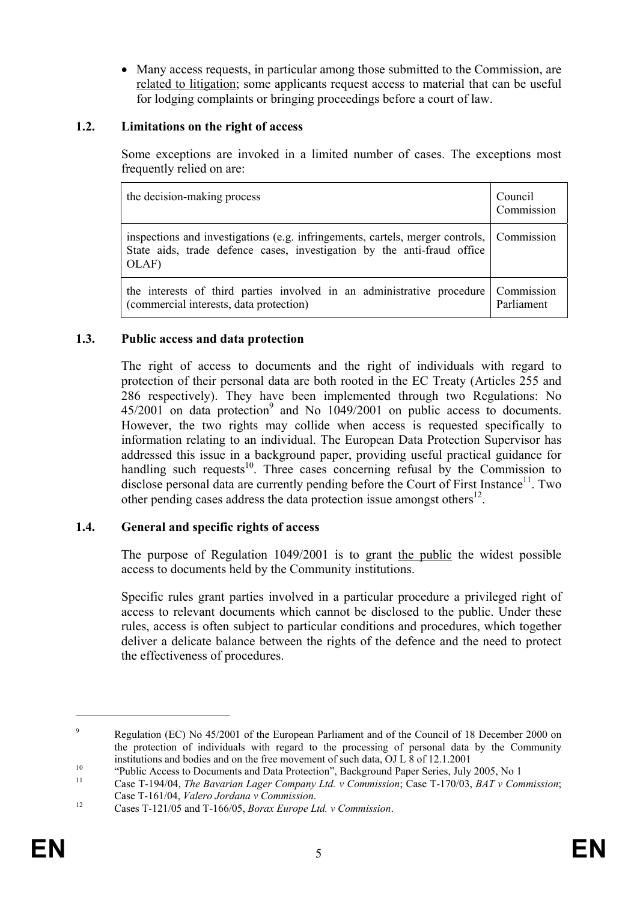• Many access requests, in particular among those submitted to the Commission, are related to litigation; some applicants request access to material that can be useful for lodging complaints or bringing proceedings before a court of law.

### **1.2. Limitations on the right of access**

Some exceptions are invoked in a limited number of cases. The exceptions most frequently relied on are:

| the decision-making process                                                                                                                                                  | Council<br>Commission    |
|------------------------------------------------------------------------------------------------------------------------------------------------------------------------------|--------------------------|
| inspections and investigations (e.g. infringements, cartels, merger controls, Commission<br>State aids, trade defence cases, investigation by the anti-fraud office<br>OLAF) |                          |
| the interests of third parties involved in an administrative procedure<br>(commercial interests, data protection)                                                            | Commission<br>Parliament |

### **1.3. Public access and data protection**

The right of access to documents and the right of individuals with regard to protection of their personal data are both rooted in the EC Treaty (Articles 255 and 286 respectively). They have been implemented through two Regulations: No  $45/2001$  on data protection<sup>9</sup> and No  $1049/2001$  on public access to documents. However, the two rights may collide when access is requested specifically to information relating to an individual. The European Data Protection Supervisor has addressed this issue in a background paper, providing useful practical guidance for handling such requests<sup>10</sup>. Three cases concerning refusal by the Commission to disclose personal data are currently pending before the Court of First Instance<sup>11</sup>. Two other pending cases address the data protection issue amongst others<sup>12</sup>.

### **1.4. General and specific rights of access**

The purpose of Regulation 1049/2001 is to grant the public the widest possible access to documents held by the Community institutions.

Specific rules grant parties involved in a particular procedure a privileged right of access to relevant documents which cannot be disclosed to the public. Under these rules, access is often subject to particular conditions and procedures, which together deliver a delicate balance between the rights of the defence and the need to protect the effectiveness of procedures.

<sup>9</sup> Regulation (EC) No 45/2001 of the European Parliament and of the Council of 18 December 2000 on the protection of individuals with regard to the processing of personal data by the Community institutions and bodies and on the free movement of such data, OJ L 8 of 12.1.2001<br>
"Public Access to Documents and Data Protection", Background Paper Series, July 2005, No 1<br>
Case T-194/04, *The Bavarian Lager Company Ltd* 

Case T-161/04, *Valero Jordana v Commission*. 12 Cases T-121/05 and T-166/05, *Borax Europe Ltd. v Commission*.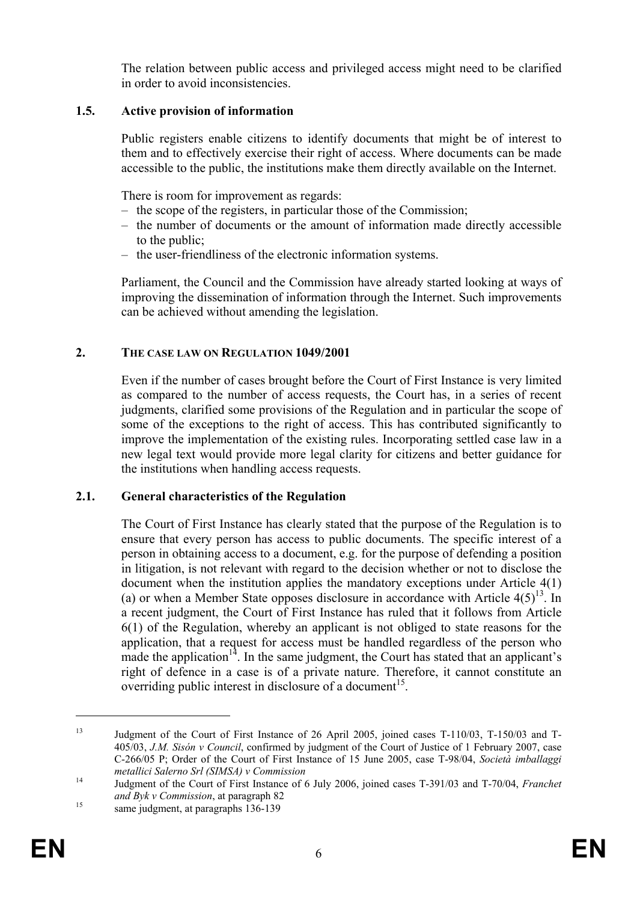The relation between public access and privileged access might need to be clarified in order to avoid inconsistencies.

### **1.5. Active provision of information**

Public registers enable citizens to identify documents that might be of interest to them and to effectively exercise their right of access. Where documents can be made accessible to the public, the institutions make them directly available on the Internet.

There is room for improvement as regards:

- the scope of the registers, in particular those of the Commission;
- the number of documents or the amount of information made directly accessible to the public;
- the user-friendliness of the electronic information systems.

Parliament, the Council and the Commission have already started looking at ways of improving the dissemination of information through the Internet. Such improvements can be achieved without amending the legislation.

### **2. THE CASE LAW ON REGULATION 1049/2001**

Even if the number of cases brought before the Court of First Instance is very limited as compared to the number of access requests, the Court has, in a series of recent judgments, clarified some provisions of the Regulation and in particular the scope of some of the exceptions to the right of access. This has contributed significantly to improve the implementation of the existing rules. Incorporating settled case law in a new legal text would provide more legal clarity for citizens and better guidance for the institutions when handling access requests.

### **2.1. General characteristics of the Regulation**

The Court of First Instance has clearly stated that the purpose of the Regulation is to ensure that every person has access to public documents. The specific interest of a person in obtaining access to a document, e.g. for the purpose of defending a position in litigation, is not relevant with regard to the decision whether or not to disclose the document when the institution applies the mandatory exceptions under Article 4(1) (a) or when a Member State opposes disclosure in accordance with Article  $4(5)^{13}$ . In a recent judgment, the Court of First Instance has ruled that it follows from Article 6(1) of the Regulation, whereby an applicant is not obliged to state reasons for the application, that a request for access must be handled regardless of the person who made the application $14$ . In the same judgment, the Court has stated that an applicant's right of defence in a case is of a private nature. Therefore, it cannot constitute an overriding public interest in disclosure of a document<sup>15</sup>.

<sup>13</sup> Judgment of the Court of First Instance of 26 April 2005, joined cases T-110/03, T-150/03 and T-405/03, *J.M. Sisón v Council*, confirmed by judgment of the Court of Justice of 1 February 2007, case C-266/05 P; Order of the Court of First Instance of 15 June 2005, case T-98/04, *Società imballaggi* 

*metallici Salerno Srl (SIMSA) v Commission* 14 Judgment of the Court of First Instance of 6 July 2006, joined cases T-391/03 and T-70/04, *Franchet and Byk v Commission*, at paragraph 82<br><sup>15</sup> same judgment, at paragraphs 136-139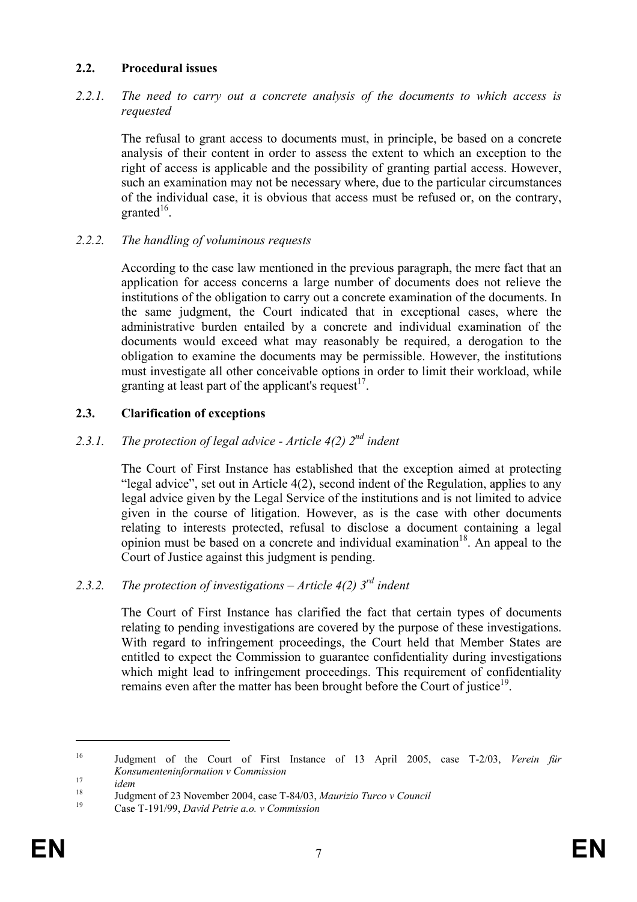### **2.2. Procedural issues**

#### *2.2.1. The need to carry out a concrete analysis of the documents to which access is requested*

The refusal to grant access to documents must, in principle, be based on a concrete analysis of their content in order to assess the extent to which an exception to the right of access is applicable and the possibility of granting partial access. However, such an examination may not be necessary where, due to the particular circumstances of the individual case, it is obvious that access must be refused or, on the contrary, granted $16$ .

#### *2.2.2. The handling of voluminous requests*

According to the case law mentioned in the previous paragraph, the mere fact that an application for access concerns a large number of documents does not relieve the institutions of the obligation to carry out a concrete examination of the documents. In the same judgment, the Court indicated that in exceptional cases, where the administrative burden entailed by a concrete and individual examination of the documents would exceed what may reasonably be required, a derogation to the obligation to examine the documents may be permissible. However, the institutions must investigate all other conceivable options in order to limit their workload, while granting at least part of the applicant's request $17$ .

### **2.3. Clarification of exceptions**

### *2.3.1. The protection of legal advice - Article 4(2) 2nd indent*

The Court of First Instance has established that the exception aimed at protecting "legal advice", set out in Article 4(2), second indent of the Regulation, applies to any legal advice given by the Legal Service of the institutions and is not limited to advice given in the course of litigation. However, as is the case with other documents relating to interests protected, refusal to disclose a document containing a legal opinion must be based on a concrete and individual examination<sup>18</sup>. An appeal to the Court of Justice against this judgment is pending.

# *2.3.2. The protection of investigations – Article 4(2) 3rd indent*

The Court of First Instance has clarified the fact that certain types of documents relating to pending investigations are covered by the purpose of these investigations. With regard to infringement proceedings, the Court held that Member States are entitled to expect the Commission to guarantee confidentiality during investigations which might lead to infringement proceedings. This requirement of confidentiality remains even after the matter has been brought before the Court of justice $19$ .

<sup>16</sup> Judgment of the Court of First Instance of 13 April 2005, case T-2/03, *Verein für* 

*Konsumenteninformation v Commission*<br>
<sup>17</sup> *idem* Judgment of 23 November 2004, case T-84/03, *Maurizio Turco v Council*<br>
<sup>19</sup> Case T-191/99, *David Petrie a.o. v Commission*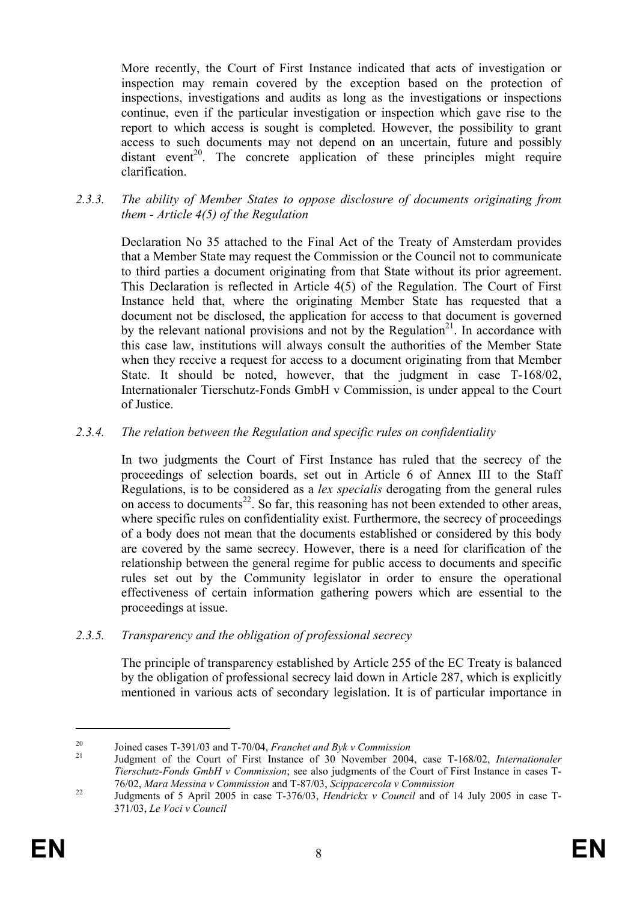More recently, the Court of First Instance indicated that acts of investigation or inspection may remain covered by the exception based on the protection of inspections, investigations and audits as long as the investigations or inspections continue, even if the particular investigation or inspection which gave rise to the report to which access is sought is completed. However, the possibility to grant access to such documents may not depend on an uncertain, future and possibly  $distance$   $\frac{1}{20}$ . The concrete application of these principles might require clarification.

*2.3.3. The ability of Member States to oppose disclosure of documents originating from them - Article 4(5) of the Regulation* 

Declaration No 35 attached to the Final Act of the Treaty of Amsterdam provides that a Member State may request the Commission or the Council not to communicate to third parties a document originating from that State without its prior agreement. This Declaration is reflected in Article 4(5) of the Regulation. The Court of First Instance held that, where the originating Member State has requested that a document not be disclosed, the application for access to that document is governed by the relevant national provisions and not by the Regulation<sup>21</sup>. In accordance with this case law, institutions will always consult the authorities of the Member State when they receive a request for access to a document originating from that Member State. It should be noted, however, that the judgment in case T-168/02, Internationaler Tierschutz-Fonds GmbH v Commission, is under appeal to the Court of Justice.

### *2.3.4. The relation between the Regulation and specific rules on confidentiality*

In two judgments the Court of First Instance has ruled that the secrecy of the proceedings of selection boards, set out in Article 6 of Annex III to the Staff Regulations, is to be considered as a *lex specialis* derogating from the general rules on access to documents<sup>22</sup>. So far, this reasoning has not been extended to other areas, where specific rules on confidentiality exist. Furthermore, the secrecy of proceedings of a body does not mean that the documents established or considered by this body are covered by the same secrecy. However, there is a need for clarification of the relationship between the general regime for public access to documents and specific rules set out by the Community legislator in order to ensure the operational effectiveness of certain information gathering powers which are essential to the proceedings at issue.

#### *2.3.5. Transparency and the obligation of professional secrecy*

The principle of transparency established by Article 255 of the EC Treaty is balanced by the obligation of professional secrecy laid down in Article 287, which is explicitly mentioned in various acts of secondary legislation. It is of particular importance in

<u>.</u>

<sup>20</sup> Joined cases T-391/03 and T-70/04, *Franchet and Byk v Commission* 21 Judgment of the Court of First Instance of 30 November 2004, case T-168/02, *Internationaler Tierschutz-Fonds GmbH v Commission*; see also judgments of the Court of First Instance in cases T-76/02, *Mara Messina v Commission* and T-87/03, *Scippacercola v Commission* 22 Judgments of 5 April 2005 in case T-376/03, *Hendrickx v Council* and of 14 July 2005 in case T-

<sup>371/03,</sup> *Le Voci v Council*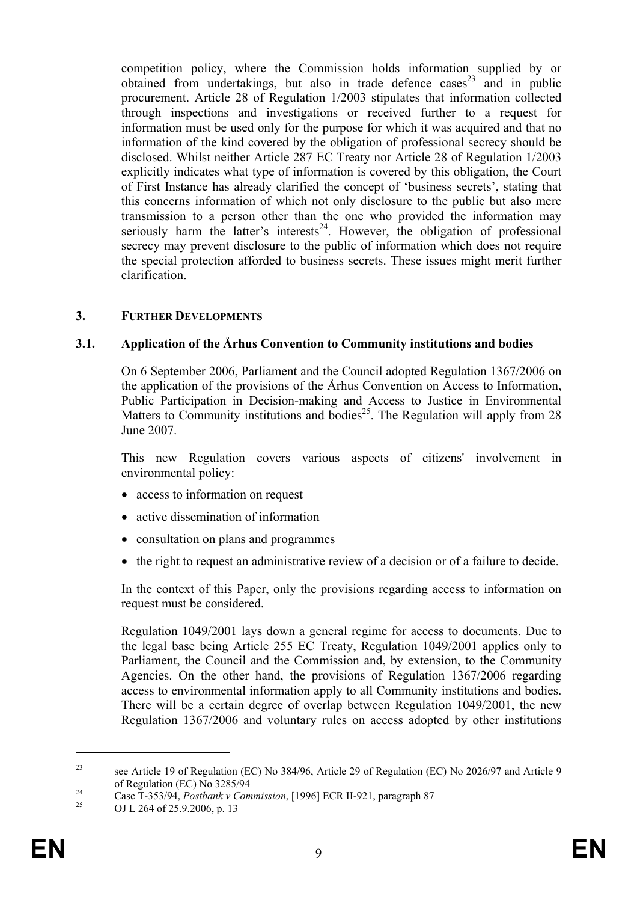competition policy, where the Commission holds information supplied by or obtained from undertakings, but also in trade defence cases<sup>23</sup> and in public procurement. Article 28 of Regulation 1/2003 stipulates that information collected through inspections and investigations or received further to a request for information must be used only for the purpose for which it was acquired and that no information of the kind covered by the obligation of professional secrecy should be disclosed. Whilst neither Article 287 EC Treaty nor Article 28 of Regulation 1/2003 explicitly indicates what type of information is covered by this obligation, the Court of First Instance has already clarified the concept of 'business secrets', stating that this concerns information of which not only disclosure to the public but also mere transmission to a person other than the one who provided the information may seriously harm the latter's interests<sup>24</sup>. However, the obligation of professional secrecy may prevent disclosure to the public of information which does not require the special protection afforded to business secrets. These issues might merit further clarification.

#### **3. FURTHER DEVELOPMENTS**

#### **3.1. Application of the Århus Convention to Community institutions and bodies**

On 6 September 2006, Parliament and the Council adopted Regulation 1367/2006 on the application of the provisions of the Århus Convention on Access to Information, Public Participation in Decision-making and Access to Justice in Environmental Matters to Community institutions and bodies<sup>25</sup>. The Regulation will apply from 28 June 2007.

This new Regulation covers various aspects of citizens' involvement in environmental policy:

- access to information on request
- active dissemination of information
- consultation on plans and programmes
- the right to request an administrative review of a decision or of a failure to decide.

In the context of this Paper, only the provisions regarding access to information on request must be considered.

Regulation 1049/2001 lays down a general regime for access to documents. Due to the legal base being Article 255 EC Treaty, Regulation 1049/2001 applies only to Parliament, the Council and the Commission and, by extension, to the Community Agencies. On the other hand, the provisions of Regulation 1367/2006 regarding access to environmental information apply to all Community institutions and bodies. There will be a certain degree of overlap between Regulation 1049/2001, the new Regulation 1367/2006 and voluntary rules on access adopted by other institutions

<sup>23</sup> see Article 19 of Regulation (EC) No 384/96, Article 29 of Regulation (EC) No 2026/97 and Article 9

of Regulation (EC) No 3285/94<br>
Case T-353/94, *Postbank v Commission*, [1996] ECR II-921, paragraph 87<br>
OJ L 264 of 25.9.2006, p. 13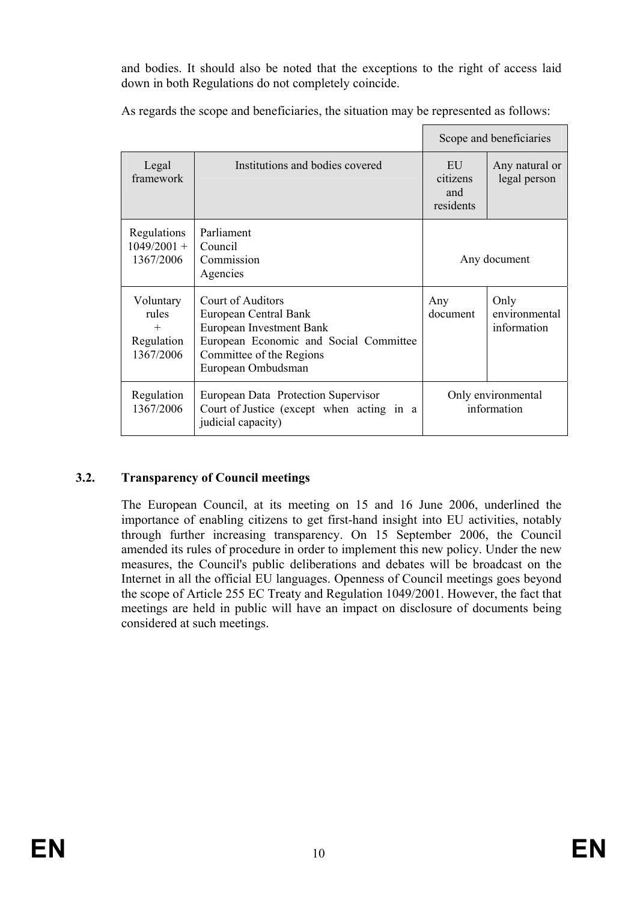and bodies. It should also be noted that the exceptions to the right of access laid down in both Regulations do not completely coincide.

As regards the scope and beneficiaries, the situation may be represented as follows:

|                                                         |                                                                                                                                                                    | Scope and beneficiaries            |                                      |
|---------------------------------------------------------|--------------------------------------------------------------------------------------------------------------------------------------------------------------------|------------------------------------|--------------------------------------|
| Legal<br>framework                                      | Institutions and bodies covered                                                                                                                                    | EU<br>citizens<br>and<br>residents | Any natural or<br>legal person       |
| Regulations<br>$1049/2001 +$<br>1367/2006               | Parliament<br>Council<br>Commission<br>Agencies                                                                                                                    |                                    | Any document                         |
| Voluntary<br>rules<br>$^{+}$<br>Regulation<br>1367/2006 | Court of Auditors<br>European Central Bank<br>European Investment Bank<br>European Economic and Social Committee<br>Committee of the Regions<br>European Ombudsman | Any<br>document                    | Only<br>environmental<br>information |
| Regulation<br>1367/2006                                 | European Data Protection Supervisor<br>Court of Justice (except when acting in a<br>judicial capacity)                                                             | Only environmental<br>information  |                                      |

# **3.2. Transparency of Council meetings**

The European Council, at its meeting on 15 and 16 June 2006, underlined the importance of enabling citizens to get first-hand insight into EU activities, notably through further increasing transparency. On 15 September 2006, the Council amended its rules of procedure in order to implement this new policy. Under the new measures, the Council's public deliberations and debates will be broadcast on the Internet in all the official EU languages. Openness of Council meetings goes beyond the scope of Article 255 EC Treaty and Regulation 1049/2001. However, the fact that meetings are held in public will have an impact on disclosure of documents being considered at such meetings.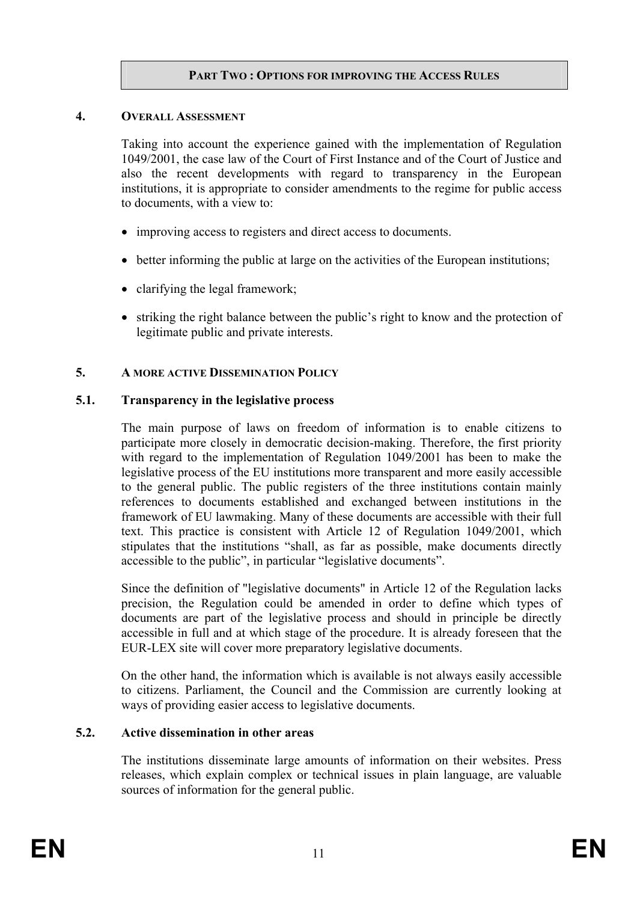### **PART TWO : OPTIONS FOR IMPROVING THE ACCESS RULES**

#### **4. OVERALL ASSESSMENT**

Taking into account the experience gained with the implementation of Regulation 1049/2001, the case law of the Court of First Instance and of the Court of Justice and also the recent developments with regard to transparency in the European institutions, it is appropriate to consider amendments to the regime for public access to documents, with a view to:

- improving access to registers and direct access to documents.
- better informing the public at large on the activities of the European institutions;
- clarifying the legal framework;
- striking the right balance between the public's right to know and the protection of legitimate public and private interests.

### **5. A MORE ACTIVE DISSEMINATION POLICY**

### **5.1. Transparency in the legislative process**

The main purpose of laws on freedom of information is to enable citizens to participate more closely in democratic decision-making. Therefore, the first priority with regard to the implementation of Regulation 1049/2001 has been to make the legislative process of the EU institutions more transparent and more easily accessible to the general public. The public registers of the three institutions contain mainly references to documents established and exchanged between institutions in the framework of EU lawmaking. Many of these documents are accessible with their full text. This practice is consistent with Article 12 of Regulation 1049/2001, which stipulates that the institutions "shall, as far as possible, make documents directly accessible to the public", in particular "legislative documents".

Since the definition of "legislative documents" in Article 12 of the Regulation lacks precision, the Regulation could be amended in order to define which types of documents are part of the legislative process and should in principle be directly accessible in full and at which stage of the procedure. It is already foreseen that the EUR-LEX site will cover more preparatory legislative documents.

On the other hand, the information which is available is not always easily accessible to citizens. Parliament, the Council and the Commission are currently looking at ways of providing easier access to legislative documents.

#### **5.2. Active dissemination in other areas**

The institutions disseminate large amounts of information on their websites. Press releases, which explain complex or technical issues in plain language, are valuable sources of information for the general public.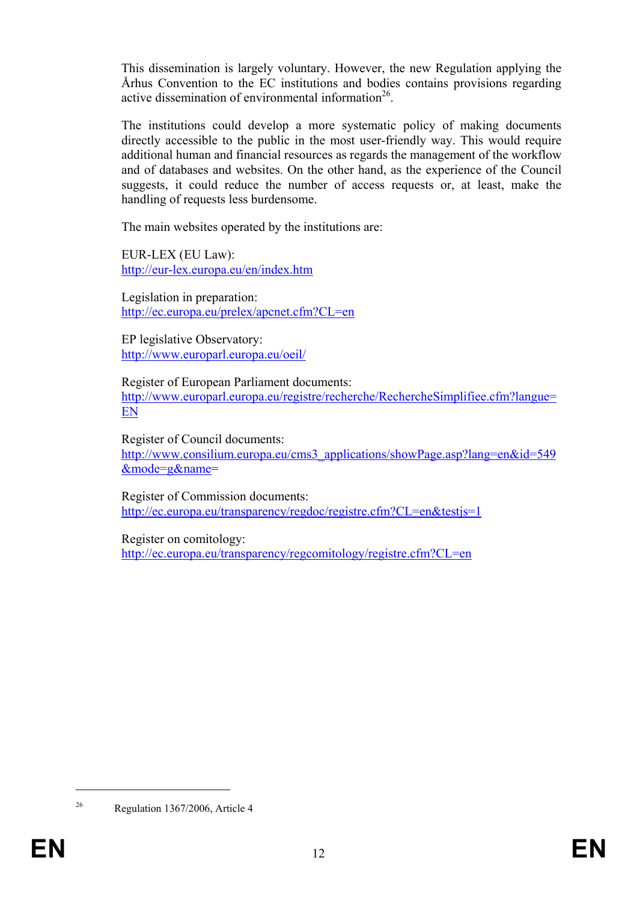This dissemination is largely voluntary. However, the new Regulation applying the Århus Convention to the EC institutions and bodies contains provisions regarding active dissemination of environmental information<sup>26</sup>.

The institutions could develop a more systematic policy of making documents directly accessible to the public in the most user-friendly way. This would require additional human and financial resources as regards the management of the workflow and of databases and websites. On the other hand, as the experience of the Council suggests, it could reduce the number of access requests or, at least, make the handling of requests less burdensome.

The main websites operated by the institutions are:

EUR-LEX (EU Law): http://eur-lex.europa.eu/en/index.htm

Legislation in preparation: http://ec.europa.eu/prelex/apcnet.cfm?CL=en

EP legislative Observatory: http://www.europarl.europa.eu/oeil/

Register of European Parliament documents: http://www.europarl.europa.eu/registre/recherche/RechercheSimplifiee.cfm?langue= EN

Register of Council documents: http://www.consilium.europa.eu/cms3\_applications/showPage.asp?lang=en&id=549 &mode=g&name=

Register of Commission documents: http://ec.europa.eu/transparency/regdoc/registre.cfm?CL=en&testjs=1

Register on comitology: http://ec.europa.eu/transparency/regcomitology/registre.cfm?CL=en

<sup>1</sup> 

<sup>26</sup> Regulation 1367/2006, Article 4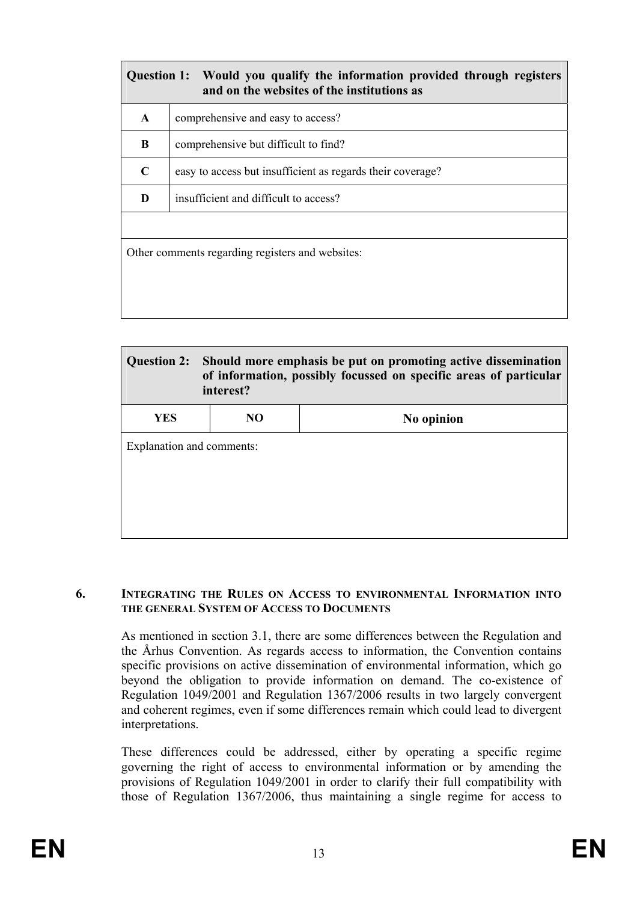| Would you qualify the information provided through registers<br><b>Question 1:</b><br>and on the websites of the institutions as |                                                            |  |  |  |
|----------------------------------------------------------------------------------------------------------------------------------|------------------------------------------------------------|--|--|--|
| $\mathbf{A}$                                                                                                                     | comprehensive and easy to access?                          |  |  |  |
| B                                                                                                                                | comprehensive but difficult to find?                       |  |  |  |
| $\mathbf C$                                                                                                                      | easy to access but insufficient as regards their coverage? |  |  |  |
| D                                                                                                                                | insufficient and difficult to access?                      |  |  |  |
|                                                                                                                                  |                                                            |  |  |  |
| Other comments regarding registers and websites:                                                                                 |                                                            |  |  |  |
|                                                                                                                                  |                                                            |  |  |  |
|                                                                                                                                  |                                                            |  |  |  |

| <b>Question 2:</b>        | Should more emphasis be put on promoting active dissemination<br>of information, possibly focussed on specific areas of particular<br>interest? |            |  |  |
|---------------------------|-------------------------------------------------------------------------------------------------------------------------------------------------|------------|--|--|
| <b>YES</b>                | NO.                                                                                                                                             | No opinion |  |  |
| Explanation and comments: |                                                                                                                                                 |            |  |  |

#### **6. INTEGRATING THE RULES ON ACCESS TO ENVIRONMENTAL INFORMATION INTO THE GENERAL SYSTEM OF ACCESS TO DOCUMENTS**

As mentioned in section 3.1, there are some differences between the Regulation and the Århus Convention. As regards access to information, the Convention contains specific provisions on active dissemination of environmental information, which go beyond the obligation to provide information on demand. The co-existence of Regulation 1049/2001 and Regulation 1367/2006 results in two largely convergent and coherent regimes, even if some differences remain which could lead to divergent interpretations.

These differences could be addressed, either by operating a specific regime governing the right of access to environmental information or by amending the provisions of Regulation 1049/2001 in order to clarify their full compatibility with those of Regulation 1367/2006, thus maintaining a single regime for access to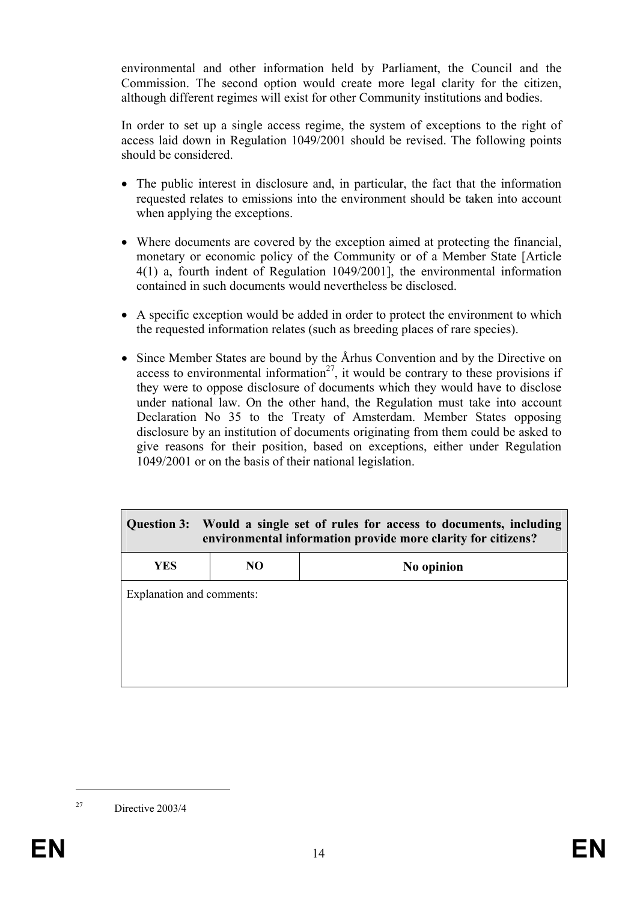environmental and other information held by Parliament, the Council and the Commission. The second option would create more legal clarity for the citizen, although different regimes will exist for other Community institutions and bodies.

In order to set up a single access regime, the system of exceptions to the right of access laid down in Regulation 1049/2001 should be revised. The following points should be considered.

- The public interest in disclosure and, in particular, the fact that the information requested relates to emissions into the environment should be taken into account when applying the exceptions.
- Where documents are covered by the exception aimed at protecting the financial. monetary or economic policy of the Community or of a Member State [Article 4(1) a, fourth indent of Regulation 1049/2001], the environmental information contained in such documents would nevertheless be disclosed.
- A specific exception would be added in order to protect the environment to which the requested information relates (such as breeding places of rare species).
- Since Member States are bound by the Århus Convention and by the Directive on access to environmental information<sup>27</sup>, it would be contrary to these provisions if they were to oppose disclosure of documents which they would have to disclose under national law. On the other hand, the Regulation must take into account Declaration No 35 to the Treaty of Amsterdam. Member States opposing disclosure by an institution of documents originating from them could be asked to give reasons for their position, based on exceptions, either under Regulation 1049/2001 or on the basis of their national legislation.

| Would a single set of rules for access to documents, including<br>Question 3:<br>environmental information provide more clarity for citizens? |    |            |  |  |
|-----------------------------------------------------------------------------------------------------------------------------------------------|----|------------|--|--|
| YES.                                                                                                                                          | NO | No opinion |  |  |
| Explanation and comments:                                                                                                                     |    |            |  |  |

<sup>27</sup> Directive 2003/4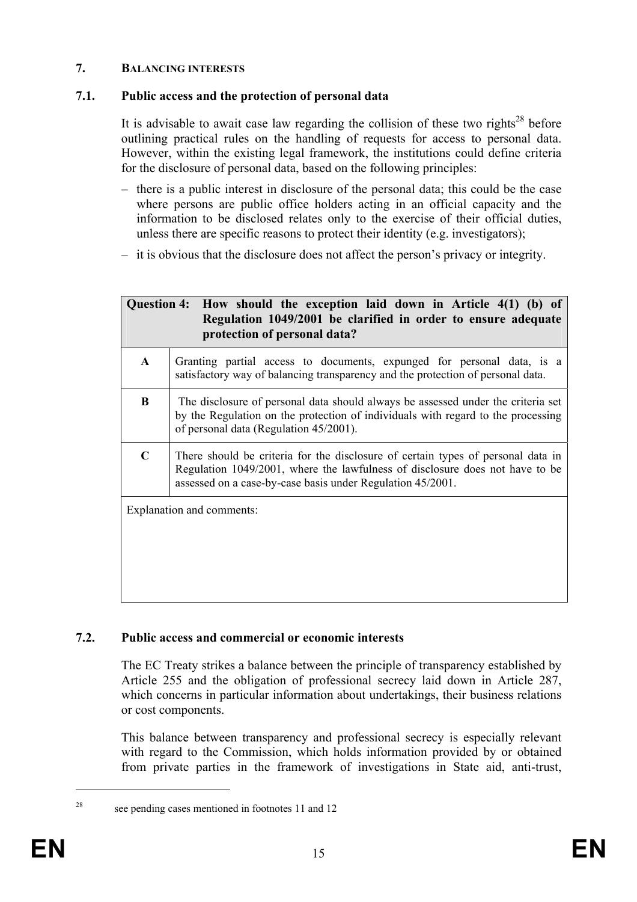### **7. BALANCING INTERESTS**

# **7.1. Public access and the protection of personal data**

It is advisable to await case law regarding the collision of these two rights<sup>28</sup> before outlining practical rules on the handling of requests for access to personal data. However, within the existing legal framework, the institutions could define criteria for the disclosure of personal data, based on the following principles:

- there is a public interest in disclosure of the personal data; this could be the case where persons are public office holders acting in an official capacity and the information to be disclosed relates only to the exercise of their official duties, unless there are specific reasons to protect their identity (e.g. investigators);
- it is obvious that the disclosure does not affect the person's privacy or integrity.

| Question 4: How should the exception laid down in Article 4(1) (b) of<br>Regulation 1049/2001 be clarified in order to ensure adequate<br>protection of personal data? |                                                                                                                                                                                                                                |  |  |
|------------------------------------------------------------------------------------------------------------------------------------------------------------------------|--------------------------------------------------------------------------------------------------------------------------------------------------------------------------------------------------------------------------------|--|--|
| $\mathbf{A}$                                                                                                                                                           | Granting partial access to documents, expunged for personal data, is a<br>satisfactory way of balancing transparency and the protection of personal data.                                                                      |  |  |
| B                                                                                                                                                                      | The disclosure of personal data should always be assessed under the criteria set<br>by the Regulation on the protection of individuals with regard to the processing<br>of personal data (Regulation 45/2001).                 |  |  |
| C                                                                                                                                                                      | There should be criteria for the disclosure of certain types of personal data in<br>Regulation 1049/2001, where the lawfulness of disclosure does not have to be<br>assessed on a case-by-case basis under Regulation 45/2001. |  |  |
|                                                                                                                                                                        | Explanation and comments:                                                                                                                                                                                                      |  |  |

# **7.2. Public access and commercial or economic interests**

The EC Treaty strikes a balance between the principle of transparency established by Article 255 and the obligation of professional secrecy laid down in Article 287, which concerns in particular information about undertakings, their business relations or cost components.

This balance between transparency and professional secrecy is especially relevant with regard to the Commission, which holds information provided by or obtained from private parties in the framework of investigations in State aid, anti-trust,

<sup>28</sup> see pending cases mentioned in footnotes 11 and 12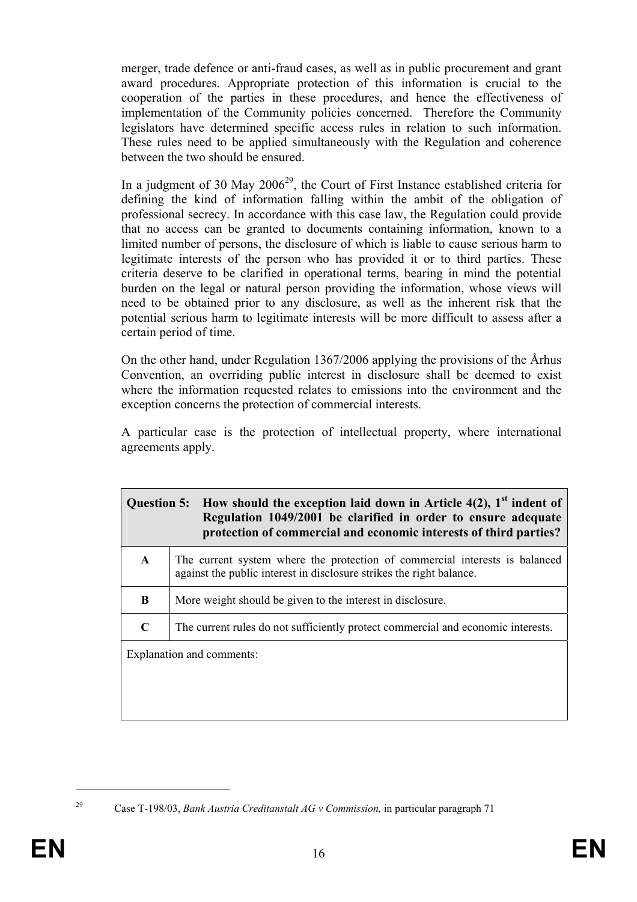merger, trade defence or anti-fraud cases, as well as in public procurement and grant award procedures. Appropriate protection of this information is crucial to the cooperation of the parties in these procedures, and hence the effectiveness of implementation of the Community policies concerned. Therefore the Community legislators have determined specific access rules in relation to such information. These rules need to be applied simultaneously with the Regulation and coherence between the two should be ensured.

In a judgment of 30 May  $2006^{29}$ , the Court of First Instance established criteria for defining the kind of information falling within the ambit of the obligation of professional secrecy. In accordance with this case law, the Regulation could provide that no access can be granted to documents containing information, known to a limited number of persons, the disclosure of which is liable to cause serious harm to legitimate interests of the person who has provided it or to third parties. These criteria deserve to be clarified in operational terms, bearing in mind the potential burden on the legal or natural person providing the information, whose views will need to be obtained prior to any disclosure, as well as the inherent risk that the potential serious harm to legitimate interests will be more difficult to assess after a certain period of time.

On the other hand, under Regulation 1367/2006 applying the provisions of the Århus Convention, an overriding public interest in disclosure shall be deemed to exist where the information requested relates to emissions into the environment and the exception concerns the protection of commercial interests.

A particular case is the protection of intellectual property, where international agreements apply.

| Question 5: How should the exception laid down in Article $4(2)$ , 1 <sup>st</sup> indent of<br>Regulation 1049/2001 be clarified in order to ensure adequate<br>protection of commercial and economic interests of third parties? |                                                                                                                                                     |  |  |
|------------------------------------------------------------------------------------------------------------------------------------------------------------------------------------------------------------------------------------|-----------------------------------------------------------------------------------------------------------------------------------------------------|--|--|
| $\mathbf{A}$                                                                                                                                                                                                                       | The current system where the protection of commercial interests is balanced<br>against the public interest in disclosure strikes the right balance. |  |  |
| B                                                                                                                                                                                                                                  | More weight should be given to the interest in disclosure.                                                                                          |  |  |
| $\mathbf C$                                                                                                                                                                                                                        | The current rules do not sufficiently protect commercial and economic interests.                                                                    |  |  |
|                                                                                                                                                                                                                                    | Explanation and comments:                                                                                                                           |  |  |

<sup>1</sup> 

<sup>29</sup> Case T-198/03, *Bank Austria Creditanstalt AG v Commission,* in particular paragraph 71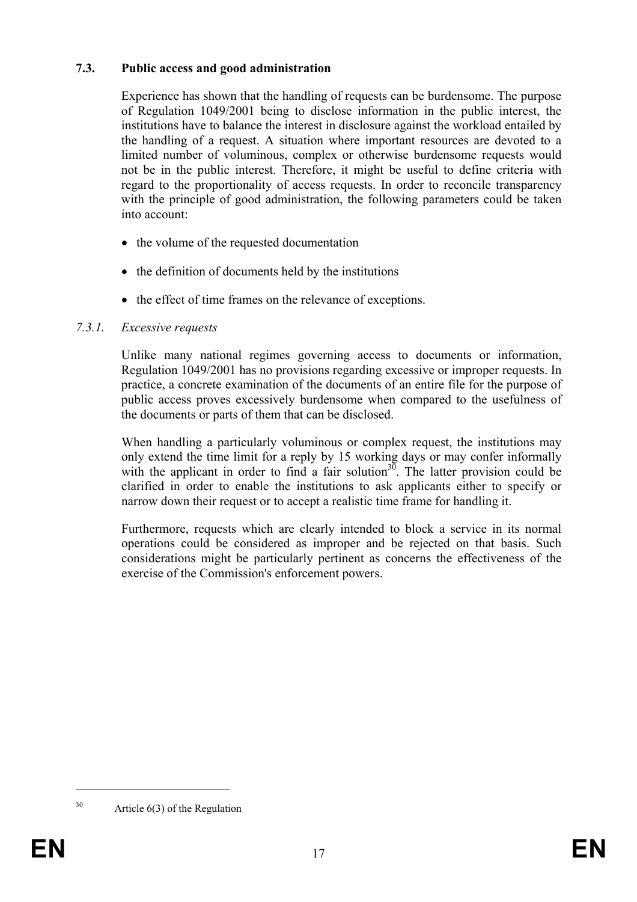### **7.3. Public access and good administration**

Experience has shown that the handling of requests can be burdensome. The purpose of Regulation 1049/2001 being to disclose information in the public interest, the institutions have to balance the interest in disclosure against the workload entailed by the handling of a request. A situation where important resources are devoted to a limited number of voluminous, complex or otherwise burdensome requests would not be in the public interest. Therefore, it might be useful to define criteria with regard to the proportionality of access requests. In order to reconcile transparency with the principle of good administration, the following parameters could be taken into account:

- the volume of the requested documentation
- the definition of documents held by the institutions
- the effect of time frames on the relevance of exceptions.

### *7.3.1. Excessive requests*

Unlike many national regimes governing access to documents or information, Regulation 1049/2001 has no provisions regarding excessive or improper requests. In practice, a concrete examination of the documents of an entire file for the purpose of public access proves excessively burdensome when compared to the usefulness of the documents or parts of them that can be disclosed.

When handling a particularly voluminous or complex request, the institutions may only extend the time limit for a reply by 15 working days or may confer informally with the applicant in order to find a fair solution<sup>30</sup>. The latter provision could be clarified in order to enable the institutions to ask applicants either to specify or narrow down their request or to accept a realistic time frame for handling it.

Furthermore, requests which are clearly intended to block a service in its normal operations could be considered as improper and be rejected on that basis. Such considerations might be particularly pertinent as concerns the effectiveness of the exercise of the Commission's enforcement powers.

<sup>30</sup> Article 6(3) of the Regulation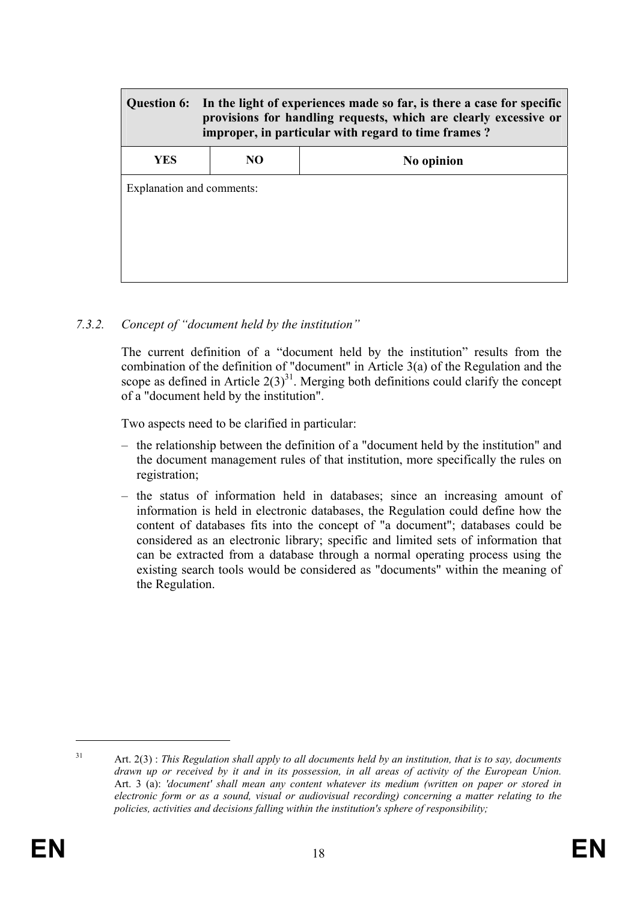|                           | Question 6: In the light of experiences made so far, is there a case for specific<br>provisions for handling requests, which are clearly excessive or<br>improper, in particular with regard to time frames? |            |  |  |  |
|---------------------------|--------------------------------------------------------------------------------------------------------------------------------------------------------------------------------------------------------------|------------|--|--|--|
| YES                       | NO                                                                                                                                                                                                           | No opinion |  |  |  |
| Explanation and comments: |                                                                                                                                                                                                              |            |  |  |  |

*7.3.2. Concept of "document held by the institution"* 

The current definition of a "document held by the institution" results from the combination of the definition of "document" in Article 3(a) of the Regulation and the scope as defined in Article  $2(3)^{31}$ . Merging both definitions could clarify the concept of a "document held by the institution".

Two aspects need to be clarified in particular:

- the relationship between the definition of a "document held by the institution" and the document management rules of that institution, more specifically the rules on registration;
- the status of information held in databases; since an increasing amount of information is held in electronic databases, the Regulation could define how the content of databases fits into the concept of "a document"; databases could be considered as an electronic library; specific and limited sets of information that can be extracted from a database through a normal operating process using the existing search tools would be considered as "documents" within the meaning of the Regulation.

<sup>1</sup> 

<sup>31</sup> Art. 2(3) : *This Regulation shall apply to all documents held by an institution, that is to say, documents drawn up or received by it and in its possession, in all areas of activity of the European Union.*  Art. 3 (a): *'document' shall mean any content whatever its medium (written on paper or stored in electronic form or as a sound, visual or audiovisual recording) concerning a matter relating to the policies, activities and decisions falling within the institution's sphere of responsibility;*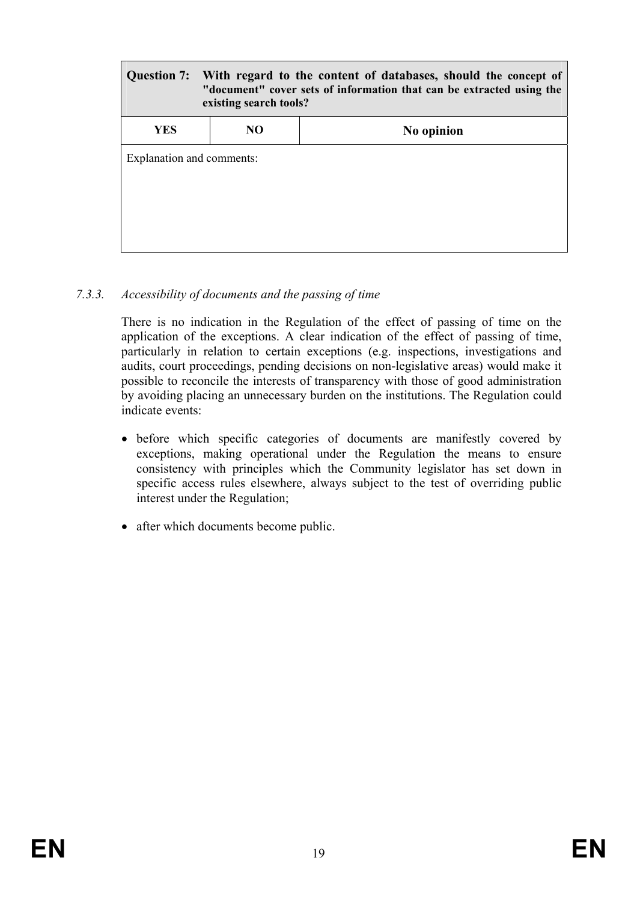| With regard to the content of databases, should the concept of<br>Question 7:<br>"document" cover sets of information that can be extracted using the<br>existing search tools? |     |            |  |  |
|---------------------------------------------------------------------------------------------------------------------------------------------------------------------------------|-----|------------|--|--|
| <b>YES</b>                                                                                                                                                                      | NO. | No opinion |  |  |
| Explanation and comments:                                                                                                                                                       |     |            |  |  |

### *7.3.3. Accessibility of documents and the passing of time*

There is no indication in the Regulation of the effect of passing of time on the application of the exceptions. A clear indication of the effect of passing of time, particularly in relation to certain exceptions (e.g. inspections, investigations and audits, court proceedings, pending decisions on non-legislative areas) would make it possible to reconcile the interests of transparency with those of good administration by avoiding placing an unnecessary burden on the institutions. The Regulation could indicate events:

- before which specific categories of documents are manifestly covered by exceptions, making operational under the Regulation the means to ensure consistency with principles which the Community legislator has set down in specific access rules elsewhere, always subject to the test of overriding public interest under the Regulation;
- after which documents become public.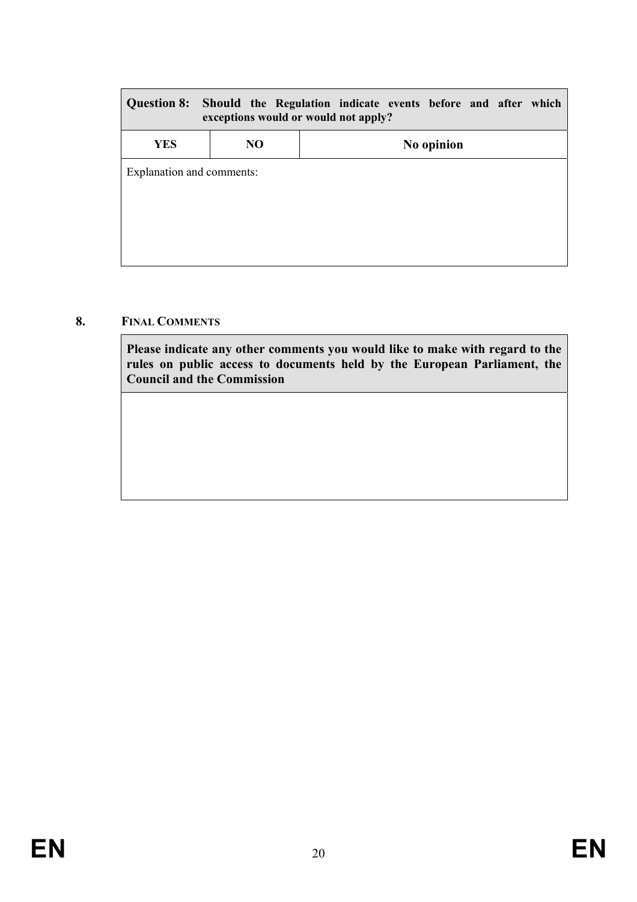| <b>Question 8:</b><br>Should the Regulation indicate events before and after which<br>exceptions would or would not apply? |    |            |  |  |  |
|----------------------------------------------------------------------------------------------------------------------------|----|------------|--|--|--|
| <b>YES</b>                                                                                                                 | NO | No opinion |  |  |  |
| Explanation and comments:                                                                                                  |    |            |  |  |  |

### **8. FINAL COMMENTS**

**Please indicate any other comments you would like to make with regard to the rules on public access to documents held by the European Parliament, the Council and the Commission**